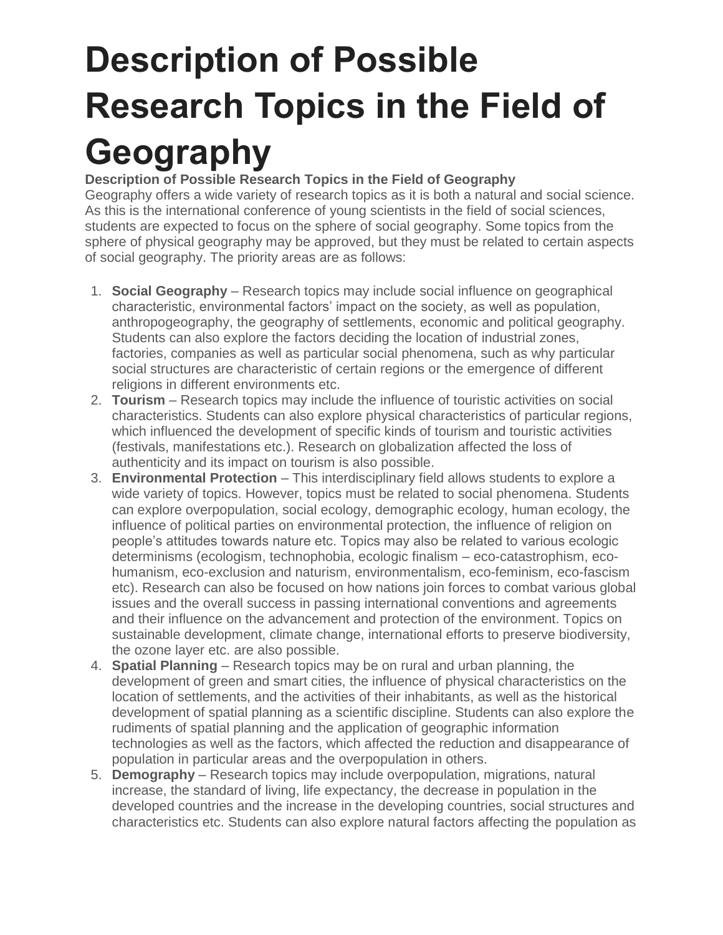## **Description of Possible Research Topics in the Field of Geography**

## **Description of Possible Research Topics in the Field of Geography**

Geography offers a wide variety of research topics as it is both a natural and social science. As this is the international conference of young scientists in the field of social sciences, students are expected to focus on the sphere of social geography. Some topics from the sphere of physical geography may be approved, but they must be related to certain aspects of social geography. The priority areas are as follows:

- 1. **Social Geography** Research topics may include social influence on geographical characteristic, environmental factors' impact on the society, as well as population, anthropogeography, the geography of settlements, economic and political geography. Students can also explore the factors deciding the location of industrial zones, factories, companies as well as particular social phenomena, such as why particular social structures are characteristic of certain regions or the emergence of different religions in different environments etc.
- 2. **Tourism** Research topics may include the influence of touristic activities on social characteristics. Students can also explore physical characteristics of particular regions, which influenced the development of specific kinds of tourism and touristic activities (festivals, manifestations etc.). Research on globalization affected the loss of authenticity and its impact on tourism is also possible.
- 3. **Environmental Protection** This interdisciplinary field allows students to explore a wide variety of topics. However, topics must be related to social phenomena. Students can explore overpopulation, social ecology, demographic ecology, human ecology, the influence of political parties on environmental protection, the influence of religion on people's attitudes towards nature etc. Topics may also be related to various ecologic determinisms (ecologism, technophobia, ecologic finalism – eco-catastrophism, ecohumanism, eco-exclusion and naturism, environmentalism, eco-feminism, eco-fascism etc). Research can also be focused on how nations join forces to combat various global issues and the overall success in passing international conventions and agreements and their influence on the advancement and protection of the environment. Topics on sustainable development, climate change, international efforts to preserve biodiversity, the ozone layer etc. are also possible.
- 4. **Spatial Planning** Research topics may be on rural and urban planning, the development of green and smart cities, the influence of physical characteristics on the location of settlements, and the activities of their inhabitants, as well as the historical development of spatial planning as a scientific discipline. Students can also explore the rudiments of spatial planning and the application of geographic information technologies as well as the factors, which affected the reduction and disappearance of population in particular areas and the overpopulation in others.
- 5. **Demography** Research topics may include overpopulation, migrations, natural increase, the standard of living, life expectancy, the decrease in population in the developed countries and the increase in the developing countries, social structures and characteristics etc. Students can also explore natural factors affecting the population as